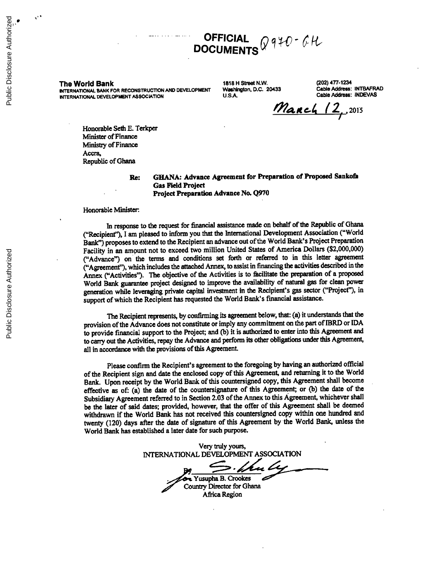# **.. OFFICIAL**  $CH$ **DOCUMENTS**

Public Disclosure Authorized

Public Disclosure Authorized

Public Disclosure Authorized

Public Disclosure Authorized

**INTERNATIONAL BANK FOR RECONSTRUCTION AND DEVELOPMENT Washington, D.C. 20433 Cable Address: INTBAFRA<br>ANTERNATIONAL DEVELOPMENT ASSOCIATION U.S.A. U.S.A. Cable Address: INDEVAS INTERNATIONAL DEVELOPMENT ASSOCIATION** 

The World Bank **1818** H **Street N.W.** (202) 477-1234

**March 12, 2015** 

Honorable Seth **E.** Terkper Minister of Finance Ministry of Finance Accra, Republic of Ghana

Re: **GHANA:** Advance Agreement for Preparation of Proposed Sankofa Gas Field Project Project Preparation Advance No. **Q970**

Honorable Minister.

In response to the request for financial assistance made on behalf of the Republic of Ghana ("Recipient"), **I** am pleased to inform you that the International Development Association ("World Bank") proposes to extend to the Recipient an advance out of the World Bank's Project Preparation Facility in an amount not to exceed two million United States of America Dollars (\$2,000,000) ("Advance") on the terms and conditions set forth or referred to in this letter agreement ("Agreement"), which includes the attached Annex, to assist in financing the activities described in the Annex ("Activities"). The objective of the Activities is to facilitate the preparation of a proposed World Bank guarantee project designed to improve the availability of natural gas for clean power generation while leveraging private capital investment in the Recipient's gas sector ("Project"), in support of which the Recipient has requested the World Bank's financial assistance.

The Recipient represents, **by** confirming its agreement below, that: (a) it understands that the provision of the Advance does not constitute or imply any commitment on the part of IBRD or **IDA** to provide financial support to the Project; and **(b)** it is authorized to enter into this Agreement and to carry out the Activities, repay the Advance and perform its other obligations under this Agreement, all in accordance with the provisions of this Agreement.

Please confirm the Recipient's agreement to the foregoing **by** having an authorized official of the Recipient sign and date the enclosed copy of this Agreement, and returning it to the World Bank. Upon receipt **by** the World Bank of this countersigned copy, this Agreement shall become effective as of: (a) the date of the countersignature of this Agreement; or (b) the date of the Subsidiary Agreement referred to in Section **2.03** of the Annex to this Agreement, whichever shall be the later of said dates; provided, however, that the offer of this Agreement shall be deemed withdrawn if the World Bank has not received this countersigned copy within one hundred and twenty (120) days after the date of signature of this Agreement **by** the World Bank, unless the World Bank has established a later date for such purpose.

Very truly yours, **INTERNATIONAL DEVELOPMENT ASSOCIATION** . % Yusupha B. Crookes Country Director for Ghana Africa Region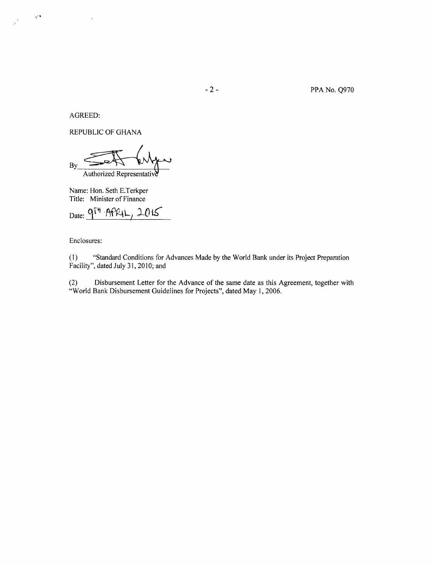AGREED:

 $\mathcal{A}^{\bullet}$ 

 $\frac{1}{10}$ 

REPUBLIC OF **GHANA**

By Authorized Representativ

Name: Hon. Seth E.Terkper Title: Minister of Finance

Date: 9<sup>[4</sup> APRIL, 2015

Enclosures:

**(1)** "Standard Conditions for Advances Made **by** the World Bank under its Project Preparation Facility", dated July **31,** 2010; and

(2) Disbursement Letter for the Advance of the same date as this Agreement, together with "World Bank Disbursement Guidelines for Projects", dated May **1, 2006.**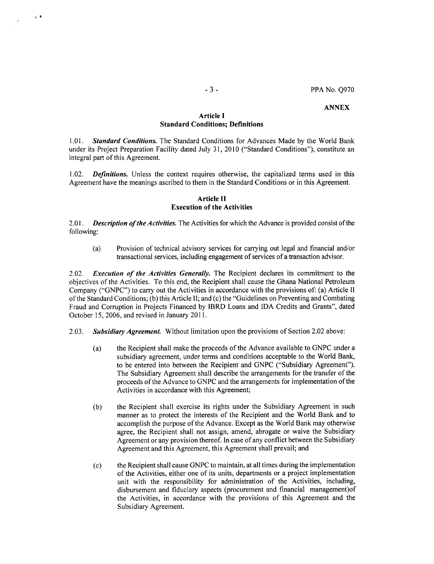### **ANNEX**

# **Article I Standard Conditions; Definitions**

*1.01.* **Standard Conditions.** The Standard Conditions for Advances Made **by** the World Bank under its Project Preparation Facility dated July **31,** 2010 ("Standard Conditions"), constitute an integral part of this Agreement.

1.02. **Definitions.** Unless the context requires otherwise, the capitalized terms used in this Agreement have the meanings ascribed to them in the Standard Conditions or in this Agreement.

### **Article II Execution of the Activities**

2.01. **Description of the Activities.** The Activities for which the Advance is provided consist of the following:

(a) Provision of technical advisory services for carrying out legal and financial and/or transactional services, including engagement of services of a transaction advisor.

2.02. **Execution of the Activities Generally.** The Recipient declares its commitment to the objectives of the Activities. To this end, the Recipient shall cause the Ghana National Petroleum Company **("GNPC")** to carry out the Activities in accordance with the provisions of: (a) Article II of the Standard Conditions; **(b)** this Article **II;** and (c) the "Guidelines on Preventing and Combating Fraud and Corruption in Projects Financed **by** IBRD Loans and **IDA** Credits and Grants", dated October **15, 2006,** and revised in January **2011.**

- *2.03.* **Subsidiary** *Agreement.* Without limitation upon the provisions of Section 2.02 above:
	- (a) the Recipient shall make the proceeds of the Advance available to **GNPC** under a subsidiary agreement, under terms and conditions acceptable to the World Bank, to be entered into between the Recipient and **GNPC** ("Subsidiary Agreement"). The Subsidiary Agreement shall describe the arrangements for the transfer of the proceeds of the Advance to **GNPC** and the arrangements for implementation of the Activities in accordance with this Agreement;
	- **(b)** the Recipient shall exercise its rights under the Subsidiary Agreement in such manner as to protect the interests of the Recipient and the World Bank and to accomplish the purpose of the Advance. Except as the World Bank may otherwise agree, the Recipient shall not assign, amend, abrogate or waive the Subsidiary Agreement or any provision thereof. In case of any conflict between the Subsidiary Agreement and this Agreement, this Agreement shall prevail; and
	- **(c)** the Recipient shall cause **GNPC** to maintain, at all times during the implementation of the Activities, either one of its units, departments or a project implementation unit with the responsibility for administration of the Activities, including, disbursement and fiduciary aspects (procurement and financial management)of the Activities, in accordance with the provisions of this Agreement and the Subsidiary Agreement.

 $\mathbf{A}$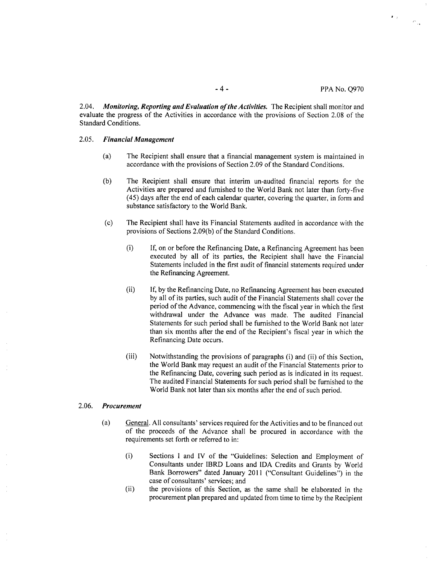$\pmb{r}_{\rm eff}$ 

*2.04. Monitoring, Reporting and Evaluation ofthe Activities.* The Recipient shall monitor and evaluate the progress of the Activities in accordance with the provisions of Section **2.08** of the Standard Conditions.

#### *2.05. Financial Management*

- (a) The Recipient shall ensure that a financial management system is maintained in accordance with the provisions of Section **2.09** of the Standard Conditions.
- **(b)** The Recipient shall ensure that interim un-audited financial reports for the Activities are prepared and furnished to the World Bank not later than forty-five *(45)* days after the end of each calendar quarter, covering the quarter, in form and substance satisfactory to the World Bank.
- (c) The Recipient shall have its Financial Statements audited in accordance with the provisions of Sections **2.09(b)** of the Standard Conditions.
	- (i) **If,** on or before the Refinancing Date, a Refinancing Agreement has been executed **by** all of its parties, the Recipient shall have the Financial Statements included in the first audit of financial statements required under the Refinancing Agreement.
	- (ii) If, **by** the Refinancing Date, no Refinancing Agreement has been executed **by** all of its parties, such audit of the Financial Statements shall cover the period of the Advance, commencing with the fiscal year in which the first withdrawal under the Advance was made. The audited Financial Statements for such period shall be furnished to the World Bank not later than six months after the end of the Recipient's fiscal year in which the Refinancing Date occurs.
	- (iii) Notwithstanding the provisions of paragraphs (i) and (ii) of this Section, the World Bank may request an audit of the Financial Statements prior to the Refinancing Date, covering such period as is indicated in its request. The audited Financial Statements for such period shall be furnished to the World Bank not later than six months after the end of such period.

### *2.06. Procurement*

- (a) General. **All** consultants' services required for the Activities and to be financed out of the proceeds of the Advance shall be procured in accordance with the requirements set forth or referred to in:
	- (i) Sections **I** and IV of the "Guidelines: Selection and Employment of Consultants under IBRD Loans and **IDA** Credits and Grants **by** World Bank Borrowers" dated January 2011 ("Consultant Guidelines") in the case of consultants' services; and
	- (ii) the provisions of this Section, as the same shall be elaborated in the procurement plan prepared and updated from time to time **by** the Recipient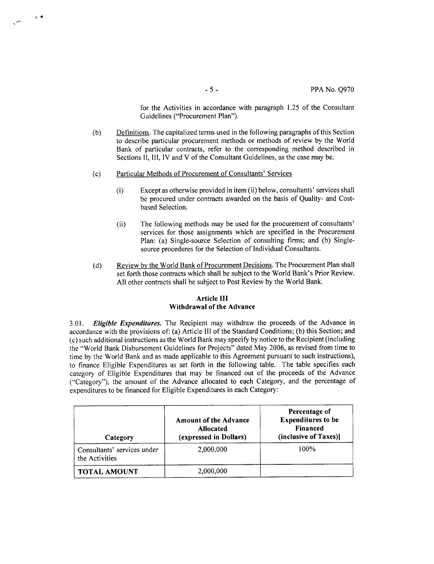for the Activities in accordance with paragraph **1.25** of the Consultant Guidelines ("Procurement Plan").

- **(b)** Definitions. The capitalized terms used in the following paragraphs of this Section to describe particular procurement methods or methods of review **by** the World Bank of particular contracts, refer to the corresponding method described in Sections **II,** III, IV and V of the Consultant Guidelines, as the case may be.
- **(c)** Particular Methods of Procurement of Consultants' Services

 $\sqrt{2}$ 

- (i) Except as otherwise provided in item (ii) below, consultants' services shall be procured under contracts awarded on the basis of Quality- and Costbased Selection.
- (ii) The following methods may be used for the procurement of consultants' services for those assignments which are specified in the Procurement Plan: (a) Single-source Selection of consulting firms; and **(b)** Singlesource procedures for the Selection of Individual Consultants.
- **(d)** Review **by** the World Bank of Procurement Decisions. The Procurement Plan shall set forth those contracts which shall be subject to the World Bank's Prior Review. **All** other contracts shall be subject to Post Review **by** the World Bank.

## **Article III Withdrawal of the Advance**

*3.01. Eligible Expenditures.* The Recipient may withdraw the proceeds of the Advance in accordance with the provisions of: (a) Article *III* of the Standard Conditions; **(b)** this Section; and (c) such additional instructions as the World Bank may specify **by** notice to the Recipient (including the "World Bank Disbursement Guidelines for Projects" dated May **2006,** as revised from time to time **by** the World Bank and as made applicable to this Agreement pursuant to such instructions), to finance Eligible Expenditures as set forth in the following table. The table specifies each category of Eligible Expenditures that may be financed out of the proceeds of the Advance ("Category"), the amount of the Advance allocated to each Category, and the percentage of expenditures to be financed for Eligible Expenditures in each Category:

| Category                                      | <b>Amount of the Advance</b><br><b>Allocated</b><br>(expressed in Dollars) | Percentage of<br><b>Expenditures to be</b><br><b>Financed</b><br>(inclusive of Taxes)] |
|-----------------------------------------------|----------------------------------------------------------------------------|----------------------------------------------------------------------------------------|
| Consultants' services under<br>the Activities | 2,000,000                                                                  | 100%                                                                                   |
| <b>TOTAL AMOUNT</b>                           | 2,000,000                                                                  |                                                                                        |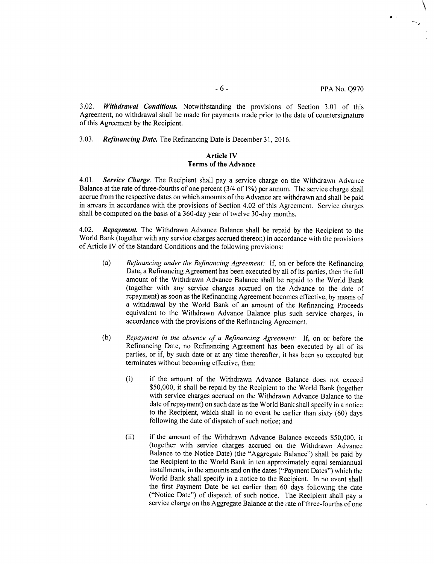$\bullet$   $\leq$ 

**3.02.** *Withdrawal Conditions.* Notwithstanding the provisions of Section **3.01** of this Agreement, no withdrawal shall be made for payments made prior to the date of countersignature of this Agreement **by** the Recipient.

*3.03. Refinancing Date.* The Refinancing Date is December **31, 2016.**

# **Article IV Terms of the Advance**

4.01. *Service Charge.* The Recipient shall pay a service charge on the Withdrawn Advance Balance at the rate of three-fourths of one percent (3/4 of **1%)** per annum. The service charge shall accrue from the respective dates on which amounts of the Advance are withdrawn and shall be paid in arrears in accordance with the provisions of Section 4.02 of this Agreement. Service charges shall be computed on the basis of a 360-day year of twelve 30-day months.

4.02. *Repayment.* The Withdrawn Advance Balance shall be repaid **by** the Recipient to the World Bank (together with any service charges accrued thereon) in accordance with the provisions of Article IV of the Standard Conditions and the following provisions:

- (a) *Refinancing under the Refinancing Agreement.* **If,** on or before the Refinancing Date, a Refinancing Agreement has been executed **by** all of its parties, then the full amount of the Withdrawn Advance Balance shall be repaid to the World Bank (together with any service charges accrued on the Advance to the date of repayment) as soon as the Refinancing Agreement becomes effective, **by** means of a withdrawal **by** the World Bank of an amount of the Refinancing Proceeds equivalent to the Withdrawn Advance Balance plus such service charges, in accordance with the provisions of the Refinancing Agreement.
- **(b)** *Repayment in the absence of a Refinancing Agreement:* **If,** on or before the Refinancing Date, no Refinancing Agreement has been executed **by** all of its parties, or if, **by** such date or at any time thereafter, it has been so executed but terminates without becoming effective, then:
	- (i) if the amount of the Withdrawn Advance Balance does not exceed **\$50,000,** it shall be repaid **by** the Recipient to the World Bank (together with service charges accrued on the Withdrawn Advance Balance to the date of repayment) on such date as the World Bank shall specify in a notice to the Recipient, which shall in no event **be** earlier than sixty **(60)** days following the date of dispatch of such notice; and
	- (ii) if the amount of the Withdrawn Advance Balance exceeds **\$50,000,** it (together with service charges accrued on the Withdrawn Advance Balance to the Notice Date) (the "Aggregate Balance") shall be paid **by** the Recipient to the World Bank in ten approximately equal semiannual installments, in the amounts and on the dates ("Payment Dates") which the World Bank shall specify in a notice to the Recipient. In no event shall the first Payment Date be set earlier than **60** days following the date ("Notice Date") of dispatch of such notice. The Recipient shall pay a service charge on the Aggregate Balance at the rate of three-fourths of one